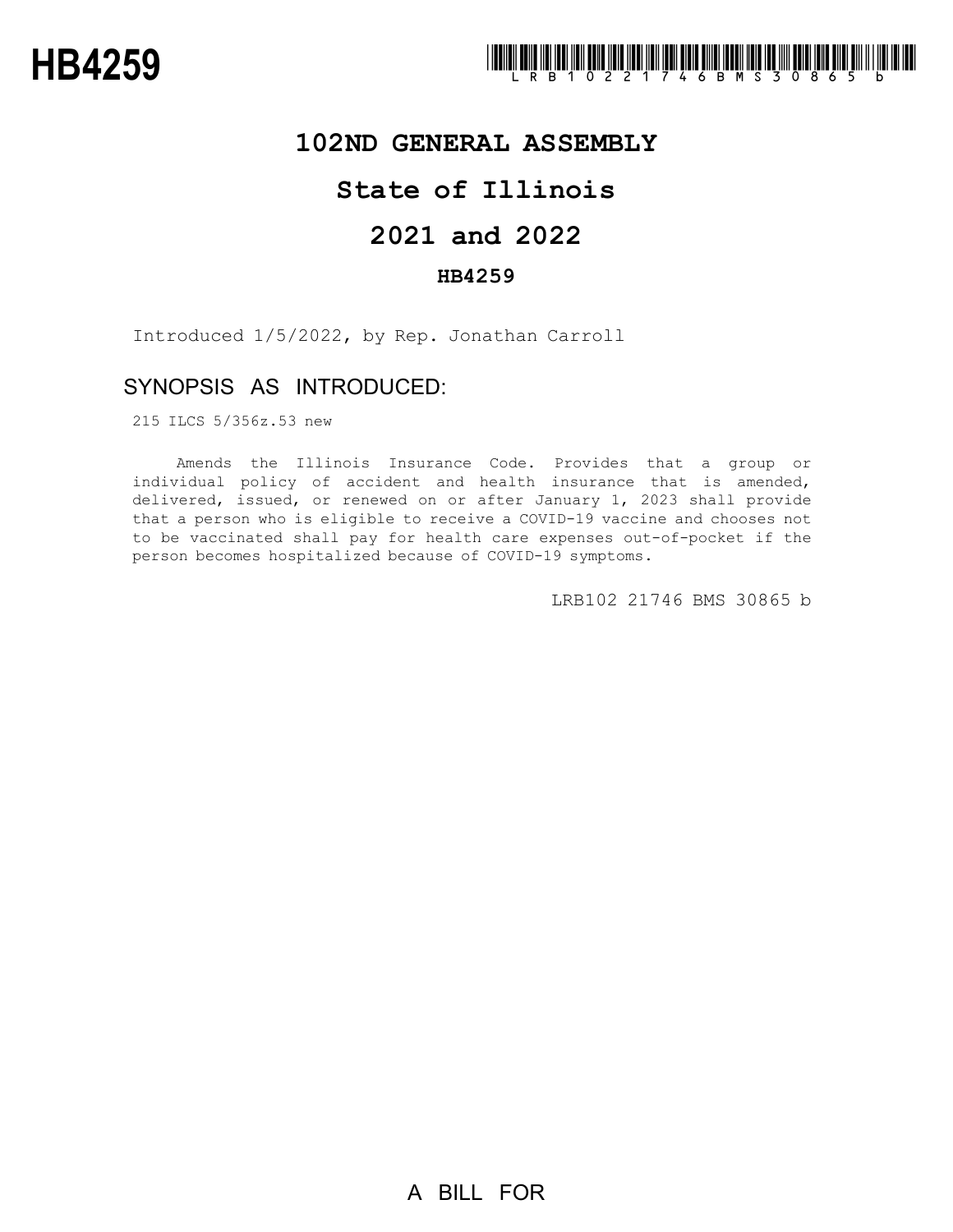

## **102ND GENERAL ASSEMBLY**

## **State of Illinois**

# **2021 and 2022**

### **HB4259**

Introduced 1/5/2022, by Rep. Jonathan Carroll

## SYNOPSIS AS INTRODUCED:

215 ILCS 5/356z.53 new

Amends the Illinois Insurance Code. Provides that a group or individual policy of accident and health insurance that is amended, delivered, issued, or renewed on or after January 1, 2023 shall provide that a person who is eligible to receive a COVID-19 vaccine and chooses not to be vaccinated shall pay for health care expenses out-of-pocket if the person becomes hospitalized because of COVID-19 symptoms.

LRB102 21746 BMS 30865 b